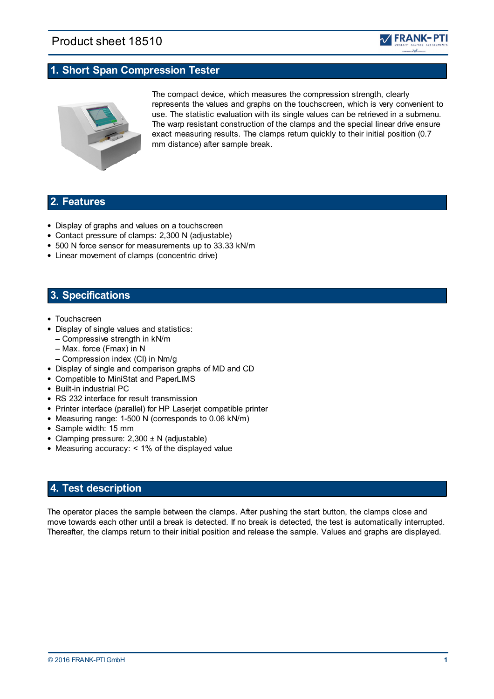# Product sheet 18510



## **1. Short Span Compression Tester**



The compact device, which measures the compression strength, clearly represents the values and graphs on the touchscreen, which is very convenient to use. The statistic evaluation with its single values can be retrieved in a submenu. The warp resistant construction of the clamps and the special linear drive ensure exact measuring results. The clamps return quickly to their initial position (0.7 mm distance) after sample break.

## **2. Features**

- Display of graphs and values on a touchscreen
- Contact pressure of clamps: 2,300 N (adjustable)
- 500 N force sensor for measurements up to 33.33 kN/m
- Linear movement of clamps (concentric drive)

## **3. Specifications**

- Touchscreen
- Display of single values and statistics:
	- Compressive strength in kN/m
	- Max. force (Fmax) in N
	- Compression index (CI) in Nm/g
- Display of single and comparison graphs of MD and CD
- Compatible to MiniStat and PaperLIMS
- Built-in industrial PC
- RS 232 interface for result transmission
- Printer interface (parallel) for HP Laserjet compatible printer
- Measuring range: 1-500 N (corresponds to 0.06 kN/m)
- Sample width: 15 mm
- Clamping pressure:  $2,300 \pm N$  (adjustable)
- Measuring accuracy: < 1% of the displayed value

### **4. Test description**

The operator places the sample between the clamps. After pushing the start button, the clamps close and move towards each other until a break is detected. If no break is detected, the test is automatically interrupted. Thereafter, the clamps return to their initial position and release the sample. Values and graphs are displayed.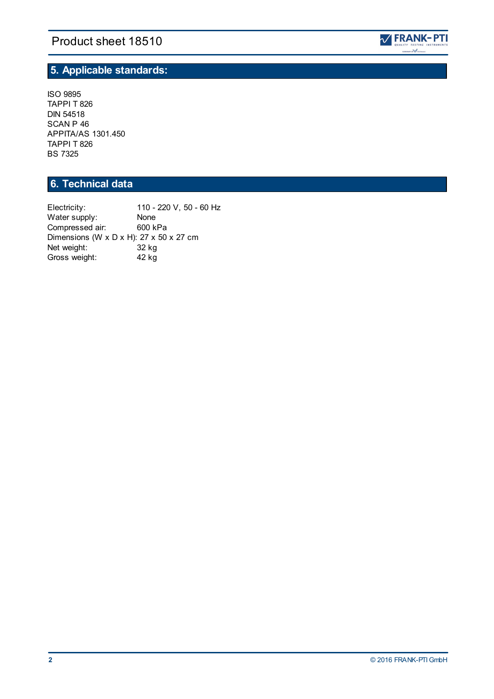# Product sheet 18510



## **5. Applicable standards:**

ISO 9895 TAPPI T 826 DIN 54518 SCAN P 46 APPITA/AS 1301.450 TAPPI T 826 BS 7325

# **6. Technical data**

Electricity: 110 - 220 V, 50 - 60 Hz<br>Water supply: None Water supply: None<br>Compressed air: 600 kPa Compressed air: Dimensions (W x D x H): 27 x 50 x 27 cm Net weight: 32 kg<br>Gross weight: 42 kg Gross weight: